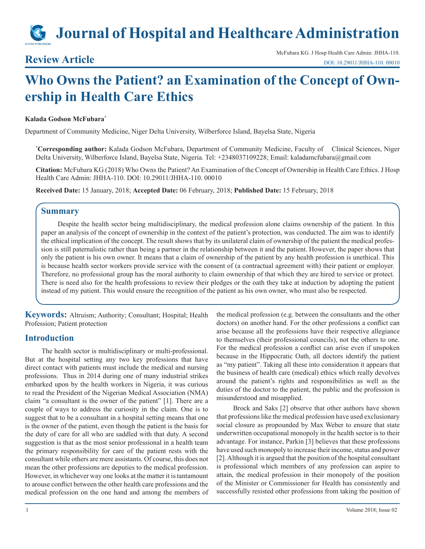# **Journal of Hospital and Healthcare Administration**

# **Who Owns the Patient? an Examination of the Concept of Ownership in Health Care Ethics**

#### **Kalada Godson McFubara\***

Department of Community Medicine, Niger Delta University, Wilberforce Island, Bayelsa State, Nigeria

**\* Corresponding author:** Kalada Godson McFubara, Department of Community Medicine, Faculty of Clinical Sciences, Niger Delta University, Wilberforce Island, Bayelsa State, Nigeria. Tel: +2348037109228; Email: kaladamcfubara@gmail.com

**Citation:** McFubara KG (2018) Who Owns the Patient? An Examination of the Concept of Ownership in Health Care Ethics. J Hosp Health Care Admin: JHHA-110. DOI: 10.29011/JHHA-110. 00010

**Received Date:** 15 January, 2018; **Accepted Date:** 06 February, 2018; **Published Date:** 15 February, 2018

## **Summary**

Despite the health sector being multidisciplinary, the medical profession alone claims ownership of the patient. In this paper an analysis of the concept of ownership in the context of the patient's protection, was conducted. The aim was to identify the ethical implication of the concept. The result shows that by its unilateral claim of ownership of the patient the medical profession is still paternalistic rather than being a partner in the relationship between it and the patient. However, the paper shows that only the patient is his own owner. It means that a claim of ownership of the patient by any health profession is unethical. This is because health sector workers provide service with the consent of (a contractual agreement with) their patient or employer. Therefore, no professional group has the moral authority to claim ownership of that which they are hired to service or protect. There is need also for the health professions to review their pledges or the oath they take at induction by adopting the patient instead of my patient. This would ensure the recognition of the patient as his own owner, who must also be respected.

**Keywords:** Altruism; Authority; Consultant; Hospital; Health Profession; Patient protection

# **Introduction**

The health sector is multidisciplinary or multi-professional. But at the hospital setting any two key professions that have direct contact with patients must include the medical and nursing professions. Thus in 2014 during one of many industrial strikes embarked upon by the health workers in Nigeria, it was curious to read the President of the Nigerian Medical Association (NMA) claim "a consultant is the owner of the patient" [1]. There are a couple of ways to address the curiosity in the claim. One is to suggest that to be a consultant in a hospital setting means that one is the owner of the patient, even though the patient is the basis for the duty of care for all who are saddled with that duty. A second suggestion is that as the most senior professional in a health team the primary responsibility for care of the patient rests with the consultant while others are mere assistants. Of course, this does not mean the other professions are deputies to the medical profession. However, in whichever way one looks at the matter it is tantamount to arouse conflict between the other health care professions and the medical profession on the one hand and among the members of the medical profession (e.g. between the consultants and the other doctors) on another hand. For the other professions a conflict can arise because all the professions have their respective allegiance to themselves (their professional councils), not the others to one. For the medical profession a conflict can arise even if unspoken because in the Hippocratic Oath, all doctors identify the patient as "my patient". Taking all these into consideration it appears that the business of health care (medical) ethics which really devolves around the patient's rights and responsibilities as well as the duties of the doctor to the patient, the public and the profession is misunderstood and misapplied.

Brock and Saks [2] observe that other authors have shown that professions like the medical profession have used exclusionary social closure as propounded by Max Weber to ensure that state underwritten occupational monopoly in the health sector is to their advantage. For instance, Parkin [3] believes that these professions have used such monopoly to increase their income, status and power [2]. Although it is argued that the position of the hospital consultant is professional which members of any profession can aspire to attain, the medical profession in their monopoly of the position of the Minister or Commissioner for Health has consistently and successfully resisted other professions from taking the position of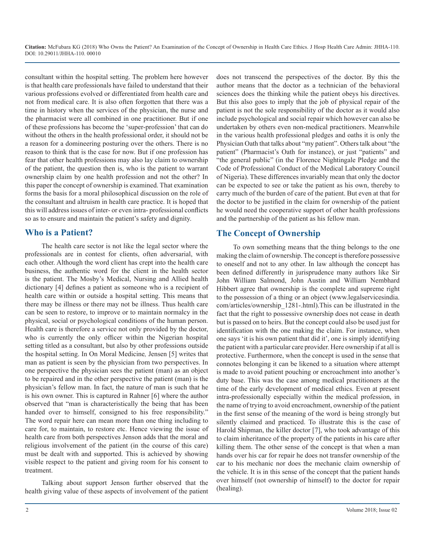consultant within the hospital setting. The problem here however is that health care professionals have failed to understand that their various professions evolved or differentiated from health care and not from medical care. It is also often forgotten that there was a time in history when the services of the physician, the nurse and the pharmacist were all combined in one practitioner. But if one of these professions has become the 'super-profession' that can do without the others in the health professional order, it should not be a reason for a domineering posturing over the others. There is no reason to think that is the case for now. But if one profession has fear that other health professions may also lay claim to ownership of the patient, the question then is, who is the patient to warrant ownership claim by one health profession and not the other? In this paper the concept of ownership is examined. That examination forms the basis for a moral philosophical discussion on the role of the consultant and altruism in health care practice. It is hoped that this will address issues of inter- or even intra- professional conflicts so as to ensure and maintain the patient's safety and dignity.

# **Who is a Patient?**

The health care sector is not like the legal sector where the professionals are in contest for clients, often adversarial, with each other. Although the word client has crept into the health care business, the authentic word for the client in the health sector is the patient. The Mosby's Medical, Nursing and Allied health dictionary [4] defines a patient as someone who is a recipient of health care within or outside a hospital setting. This means that there may be illness or there may not be illness. Thus health care can be seen to restore, to improve or to maintain normalcy in the physical, social or psychological conditions of the human person. Health care is therefore a service not only provided by the doctor, who is currently the only officer within the Nigerian hospital setting titled as a consultant, but also by other professions outside the hospital setting. In On Moral Medicine*,* Jensen [5] writes that man as patient is seen by the physician from two perspectives. In one perspective the physician sees the patient (man) as an object to be repaired and in the other perspective the patient (man) is the physician's fellow man. In fact, the nature of man is such that he is his own owner. This is captured in Rahner [6] where the author observed that "man is characteristically the being that has been handed over to himself, consigned to his free responsibility." The word repair here can mean more than one thing including to care for, to maintain, to restore etc. Hence viewing the issue of health care from both perspectives Jenson adds that the moral and religious involvement of the patient (in the course of this care) must be dealt with and supported. This is achieved by showing visible respect to the patient and giving room for his consent to treatment.

Talking about support Jenson further observed that the health giving value of these aspects of involvement of the patient

does not transcend the perspectives of the doctor. By this the author means that the doctor as a technician of the behavioral sciences does the thinking while the patient obeys his directives. But this also goes to imply that the job of physical repair of the patient is not the sole responsibility of the doctor as it would also include psychological and social repair which however can also be undertaken by others even non-medical practitioners. Meanwhile in the various health professional pledges and oaths it is only the Physician Oath that talks about "my patient". Others talk about "the patient" (Pharmacist's Oath for instance), or just "patients" and "the general public" (in the Florence Nightingale Pledge and the Code of Professional Conduct of the Medical Laboratory Council of Nigeria). These differences invariably mean that only the doctor can be expected to see or take the patient as his own, thereby to carry much of the burden of care of the patient. But even at that for the doctor to be justified in the claim for ownership of the patient he would need the cooperative support of other health professions and the partnership of the patient as his fellow man.

# **The Concept of Ownership**

To own something means that the thing belongs to the one making the claim of ownership. The concept is therefore possessive to oneself and not to any other. In law although the concept has been defined differently in jurisprudence many authors like Sir John William Salmond, John Austin and William Nembhard Hibbert agree that ownership is the complete and supreme right to the possession of a thing or an object (www.legalservicesindia. com/articles/ownership\_1281-.html).This can be illustrated in the fact that the right to possessive ownership does not cease in death but is passed on to heirs. But the concept could also be used just for identification with the one making the claim. For instance, when one says 'it is his own patient that did it', one is simply identifying the patient with a particular care provider. Here ownership if at all is protective. Furthermore, when the concept is used in the sense that connotes belonging it can be likened to a situation where attempt is made to avoid patient pouching or encroachment into another's duty base. This was the case among medical practitioners at the time of the early development of medical ethics. Even at present intra-professionally especially within the medical profession, in the name of trying to avoid encroachment, ownership of the patient in the first sense of the meaning of the word is being strongly but silently claimed and practiced. To illustrate this is the case of Harold Shipman, the killer doctor [7], who took advantage of this to claim inheritance of the property of the patients in his care after killing them. The other sense of the concept is that when a man hands over his car for repair he does not transfer ownership of the car to his mechanic nor does the mechanic claim ownership of the vehicle. It is in this sense of the concept that the patient hands over himself (not ownership of himself) to the doctor for repair (healing).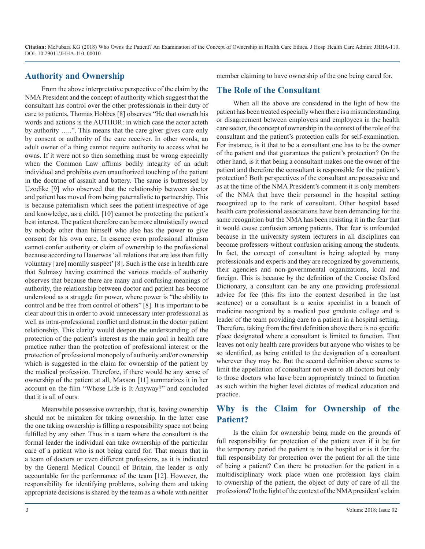# **Authority and Ownership**

From the above interpretative perspective of the claim by the NMA President and the concept of authority which suggest that the consultant has control over the other professionals in their duty of care to patients, Thomas Hobbes [8] observes "He that owneth his words and actions is the AUTHOR: in which case the actor acteth by authority …..". This means that the care giver gives care only by consent or authority of the care receiver. In other words, an adult owner of a thing cannot require authority to access what he owns. If it were not so then something must be wrong especially when the Common Law affirms bodily integrity of an adult individual and prohibits even unauthorized touching of the patient in the doctrine of assault and battery. The same is buttressed by Uzodike [9] who observed that the relationship between doctor and patient has moved from being paternalistic to partnership. This is because paternalism which sees the patient irrespective of age and knowledge, as a child, [10] cannot be protecting the patient's best interest. The patient therefore can be more altruistically owned by nobody other than himself who also has the power to give consent for his own care. In essence even professional altruism cannot confer authority or claim of ownership to the professional because according to Hauerwas 'all relations that are less than fully voluntary [are] morally suspect' [8]. Such is the case in health care that Sulmasy having examined the various models of authority observes that because there are many and confusing meanings of authority, the relationship between doctor and patient has become understood as a struggle for power, where power is "the ability to control and be free from control of others" [8]. It is important to be clear about this in order to avoid unnecessary inter-professional as well as intra-professional conflict and distrust in the doctor patient relationship. This clarity would deepen the understanding of the protection of the patient's interest as the main goal in health care practice rather than the protection of professional interest or the protection of professional monopoly of authority and/or ownership which is suggested in the claim for ownership of the patient by the medical profession. Therefore, if there would be any sense of ownership of the patient at all, Maxson [11] summarizes it in her account on the film "Whose Life is It Anyway?" and concluded that it is all of ours.

Meanwhile possessive ownership, that is, having ownership should not be mistaken for taking ownership. In the latter case the one taking ownership is filling a responsibility space not being fulfilled by any other. Thus in a team where the consultant is the formal leader the individual can take ownership of the particular care of a patient who is not being cared for. That means that in a team of doctors or even different professions, as it is indicated by the General Medical Council of Britain, the leader is only accountable for the performance of the team [12]. However, the responsibility for identifying problems, solving them and taking appropriate decisions is shared by the team as a whole with neither member claiming to have ownership of the one being cared for.

#### **The Role of the Consultant**

When all the above are considered in the light of how the patient has been treated especially when there is a misunderstanding or disagreement between employers and employees in the health care sector, the concept of ownership in the context of the role of the consultant and the patient's protection calls for self-examination. For instance, is it that to be a consultant one has to be the owner of the patient and that guarantees the patient's protection? On the other hand, is it that being a consultant makes one the owner of the patient and therefore the consultant is responsible for the patient's protection? Both perspectives of the consultant are possessive and as at the time of the NMA President's comment it is only members of the NMA that have their personnel in the hospital setting recognized up to the rank of consultant. Other hospital based health care professional associations have been demanding for the same recognition but the NMA has been resisting it in the fear that it would cause confusion among patients. That fear is unfounded because in the university system lecturers in all disciplines can become professors without confusion arising among the students. In fact, the concept of consultant is being adopted by many professionals and experts and they are recognized by governments, their agencies and non-governmental organizations, local and foreign. This is because by the definition of the Concise Oxford Dictionary, a consultant can be any one providing professional advice for fee (this fits into the context described in the last sentence) or a consultant is a senior specialist in a branch of medicine recognized by a medical post graduate college and is leader of the team providing care to a patient in a hospital setting. Therefore, taking from the first definition above there is no specific place designated where a consultant is limited to function. That leaves not only health care providers but anyone who wishes to be so identified, as being entitled to the designation of a consultant wherever they may be. But the second definition above seems to limit the appellation of consultant not even to all doctors but only to those doctors who have been appropriately trained to function as such within the higher level dictates of medical education and practice.

# **Why is the Claim for Ownership of the Patient?**

Is the claim for ownership being made on the grounds of full responsibility for protection of the patient even if it be for the temporary period the patient is in the hospital or is it for the full responsibility for protection over the patient for all the time of being a patient? Can there be protection for the patient in a multidisciplinary work place when one profession lays claim to ownership of the patient, the object of duty of care of all the professions? In the light of the context of the NMA president's claim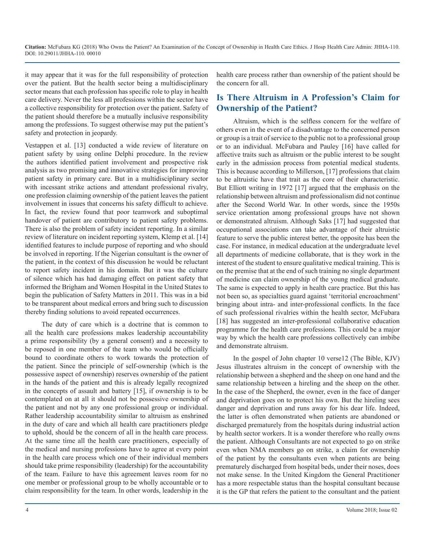it may appear that it was for the full responsibility of protection over the patient. But the health sector being a multidisciplinary sector means that each profession has specific role to play in health care delivery. Never the less all professions within the sector have a collective responsibility for protection over the patient. Safety of the patient should therefore be a mutually inclusive responsibility among the professions. To suggest otherwise may put the patient's safety and protection in jeopardy.

Vestappen et al. [13] conducted a wide review of literature on patient safety by using online Delphi procedure. In the review the authors identified patient involvement and prospective risk analysis as two promising and innovative strategies for improving patient safety in primary care. But in a multidisciplinary sector with incessant strike actions and attendant professional rivalry, one profession claiming ownership of the patient leaves the patient involvement in issues that concerns his safety difficult to achieve. In fact, the review found that poor teamwork and suboptimal handover of patient are contributory to patient safety problems. There is also the problem of safety incident reporting. In a similar review of literature on incident reporting system, Klemp et al. [14] identified features to include purpose of reporting and who should be involved in reporting. If the Nigerian consultant is the owner of the patient, in the context of this discussion he would be reluctant to report safety incident in his domain. But it was the culture of silence which has had damaging effect on patient safety that informed the Brigham and Women Hospital in the United States to begin the publication of Safety Matters in 2011. This was in a bid to be transparent about medical errors and bring such to discussion thereby finding solutions to avoid repeated occurrences.

The duty of care which is a doctrine that is common to all the health care professions makes leadership accountability a prime responsibility (by a general consent) and a necessity to be reposed in one member of the team who would be officially bound to coordinate others to work towards the protection of the patient. Since the principle of self-ownership (which is the possessive aspect of ownership) reserves ownership of the patient in the hands of the patient and this is already legally recognized in the concepts of assault and battery [15], if ownership is to be contemplated on at all it should not be possessive ownership of the patient and not by any one professional group or individual. Rather leadership accountability similar to altruism as enshrined in the duty of care and which all health care practitioners pledge to uphold, should be the concern of all in the health care process. At the same time all the health care practitioners, especially of the medical and nursing professions have to agree at every point in the health care process which one of their individual members should take prime responsibility (leadership) for the accountability of the team. Failure to have this agreement leaves room for no one member or professional group to be wholly accountable or to claim responsibility for the team. In other words, leadership in the

health care process rather than ownership of the patient should be the concern for all.

# **Is There Altruism in A Profession's Claim for Ownership of the Patient?**

Altruism, which is the selfless concern for the welfare of others even in the event of a disadvantage to the concerned person or group is a trait of service to the public not to a professional group or to an individual. McFubara and Pauley [16] have called for affective traits such as altruism or the public interest to be sought early in the admission process from potential medical students. This is because according to Millerson, [17] professions that claim to be altruistic have that trait as the core of their characteristic. But Elliott writing in 1972 [17] argued that the emphasis on the relationship between altruism and professionalism did not continue after the Second World War. In other words, since the 1950s service orientation among professional groups have not shown or demonstrated altruism. Although Saks [17] had suggested that occupational associations can take advantage of their altruistic feature to serve the public interest better, the opposite has been the case. For instance, in medical education at the undergraduate level all departments of medicine collaborate, that is they work in the interest of the student to ensure qualitative medical training. This is on the premise that at the end of such training no single department of medicine can claim ownership of the young medical graduate. The same is expected to apply in health care practice. But this has not been so, as specialties guard against 'territorial encroachment' bringing about intra- and inter-professional conflicts. In the face of such professional rivalries within the health sector, McFubara [18] has suggested an inter-professional collaborative education programme for the health care professions. This could be a major way by which the health care professions collectively can imbibe and demonstrate altruism.

In the gospel of John chapter 10 verse12 (The Bible, KJV) Jesus illustrates altruism in the concept of ownership with the relationship between a shepherd and the sheep on one hand and the same relationship between a hireling and the sheep on the other. In the case of the Shepherd, the owner, even in the face of danger and deprivation goes on to protect his own. But the hireling sees danger and deprivation and runs away for his dear life. Indeed, the latter is often demonstrated when patients are abandoned or discharged prematurely from the hospitals during industrial action by health sector workers. It is a wonder therefore who really owns the patient. Although Consultants are not expected to go on strike even when NMA members go on strike, a claim for ownership of the patient by the consultants even when patients are being prematurely discharged from hospital beds, under their noses, does not make sense. In the United Kingdom the General Practitioner has a more respectable status than the hospital consultant because it is the GP that refers the patient to the consultant and the patient